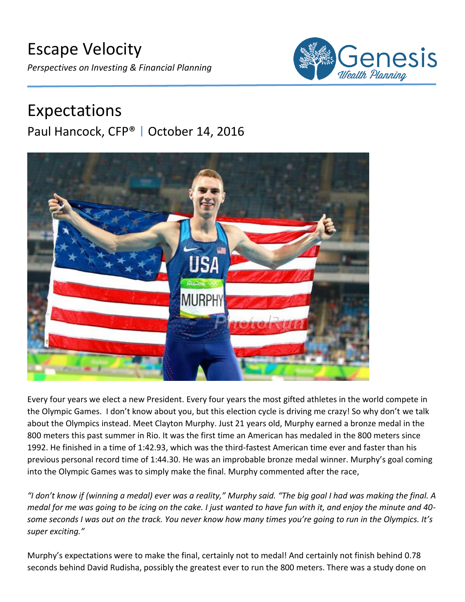

# Expectations Paul Hancock, CFP® | October 14, 2016



Every four years we elect a new President. Every four years the most gifted athletes in the world compete in the Olympic Games. I don't know about you, but this election cycle is driving me crazy! So why don't we talk about the Olympics instead. Meet Clayton Murphy. Just 21 years old, Murphy earned a bronze medal in the 800 meters this past summer in Rio. It was the first time an American has medaled in the 800 meters since 1992. He finished in a time of 1:42.93, which was the third-fastest American time ever and faster than his previous personal record time of 1:44.30. He was an improbable bronze medal winner. Murphy's goal coming into the Olympic Games was to simply make the final. Murphy commented after the race,

*"I don't know if (winning a medal) ever was a reality," Murphy said. "The big goal I had was making the final. A medal for me was going to be icing on the cake. I just wanted to have fun with it, and enjoy the minute and 40 some seconds I was out on the track. You never know how many times you're going to run in the Olympics. It's super exciting."*

Murphy's expectations were to make the final, certainly not to medal! And certainly not finish behind 0.78 seconds behind David Rudisha, possibly the greatest ever to run the 800 meters. There was a study done on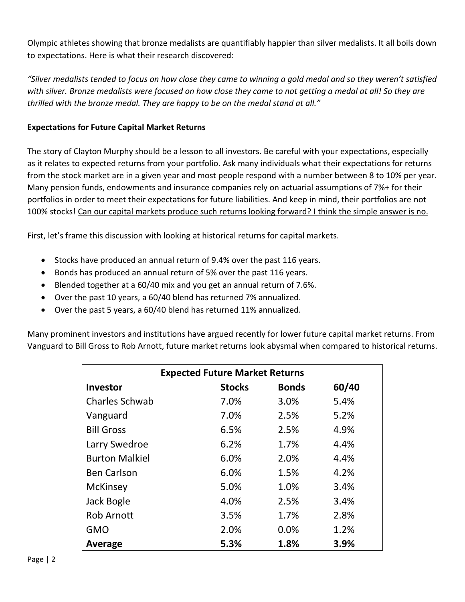Olympic athletes showing that bronze medalists are quantifiably happier than silver medalists. It all boils down to expectations. Here is what their research discovered:

*"Silver medalists tended to focus on how close they came to winning a gold medal and so they weren't satisfied*  with silver. Bronze medalists were focused on how close they came to not getting a medal at all! So they are *thrilled with the bronze medal. They are happy to be on the medal stand at all."*

# **Expectations for Future Capital Market Returns**

The story of Clayton Murphy should be a lesson to all investors. Be careful with your expectations, especially as it relates to expected returns from your portfolio. Ask many individuals what their expectations for returns from the stock market are in a given year and most people respond with a number between 8 to 10% per year. Many pension funds, endowments and insurance companies rely on actuarial assumptions of 7%+ for their portfolios in order to meet their expectations for future liabilities. And keep in mind, their portfolios are not 100% stocks! Can our capital markets produce such returns looking forward? I think the simple answer is no.

First, let's frame this discussion with looking at historical returns for capital markets.

- Stocks have produced an annual return of 9.4% over the past 116 years.
- Bonds has produced an annual return of 5% over the past 116 years.
- Blended together at a 60/40 mix and you get an annual return of 7.6%.
- Over the past 10 years, a 60/40 blend has returned 7% annualized.
- Over the past 5 years, a 60/40 blend has returned 11% annualized.

Many prominent investors and institutions have argued recently for lower future capital market returns. From Vanguard to Bill Gross to Rob Arnott, future market returns look abysmal when compared to historical returns.

| <b>Expected Future Market Returns</b> |               |              |       |
|---------------------------------------|---------------|--------------|-------|
| <b>Investor</b>                       | <b>Stocks</b> | <b>Bonds</b> | 60/40 |
| <b>Charles Schwab</b>                 | 7.0%          | 3.0%         | 5.4%  |
| Vanguard                              | 7.0%          | 2.5%         | 5.2%  |
| <b>Bill Gross</b>                     | 6.5%          | 2.5%         | 4.9%  |
| Larry Swedroe                         | 6.2%          | 1.7%         | 4.4%  |
| <b>Burton Malkiel</b>                 | 6.0%          | 2.0%         | 4.4%  |
| <b>Ben Carlson</b>                    | 6.0%          | 1.5%         | 4.2%  |
| <b>McKinsey</b>                       | 5.0%          | 1.0%         | 3.4%  |
| Jack Bogle                            | 4.0%          | 2.5%         | 3.4%  |
| <b>Rob Arnott</b>                     | 3.5%          | 1.7%         | 2.8%  |
| <b>GMO</b>                            | 2.0%          | 0.0%         | 1.2%  |
| <b>Average</b>                        | 5.3%          | 1.8%         | 3.9%  |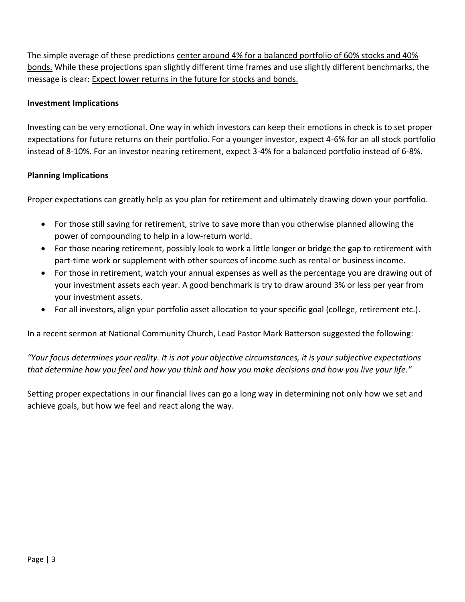The simple average of these predictions center around 4% for a balanced portfolio of 60% stocks and 40% bonds. While these projections span slightly different time frames and use slightly different benchmarks, the message is clear: Expect lower returns in the future for stocks and bonds.

## **Investment Implications**

Investing can be very emotional. One way in which investors can keep their emotions in check is to set proper expectations for future returns on their portfolio. For a younger investor, expect 4-6% for an all stock portfolio instead of 8-10%. For an investor nearing retirement, expect 3-4% for a balanced portfolio instead of 6-8%.

### **Planning Implications**

Proper expectations can greatly help as you plan for retirement and ultimately drawing down your portfolio.

- For those still saving for retirement, strive to save more than you otherwise planned allowing the power of compounding to help in a low-return world.
- For those nearing retirement, possibly look to work a little longer or bridge the gap to retirement with part-time work or supplement with other sources of income such as rental or business income.
- For those in retirement, watch your annual expenses as well as the percentage you are drawing out of your investment assets each year. A good benchmark is try to draw around 3% or less per year from your investment assets.
- For all investors, align your portfolio asset allocation to your specific goal (college, retirement etc.).

In a recent sermon at National Community Church, Lead Pastor Mark Batterson suggested the following:

*"Your focus determines your reality. It is not your objective circumstances, it is your subjective expectations that determine how you feel and how you think and how you make decisions and how you live your life."*

Setting proper expectations in our financial lives can go a long way in determining not only how we set and achieve goals, but how we feel and react along the way.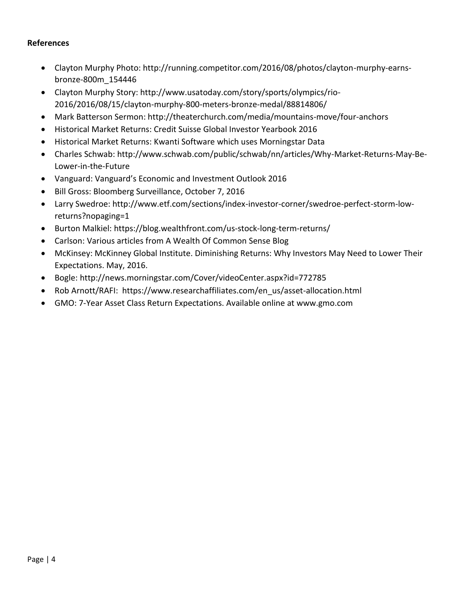#### **References**

- Clayton Murphy Photo: http://running.competitor.com/2016/08/photos/clayton-murphy-earnsbronze-800m\_154446
- Clayton Murphy Story: http://www.usatoday.com/story/sports/olympics/rio-2016/2016/08/15/clayton-murphy-800-meters-bronze-medal/88814806/
- Mark Batterson Sermon: http://theaterchurch.com/media/mountains-move/four-anchors
- Historical Market Returns: Credit Suisse Global Investor Yearbook 2016
- Historical Market Returns: Kwanti Software which uses Morningstar Data
- Charles Schwab: http://www.schwab.com/public/schwab/nn/articles/Why-Market-Returns-May-Be-Lower-in-the-Future
- Vanguard: Vanguard's Economic and Investment Outlook 2016
- Bill Gross: Bloomberg Surveillance, October 7, 2016
- Larry Swedroe: http://www.etf.com/sections/index-investor-corner/swedroe-perfect-storm-lowreturns?nopaging=1
- Burton Malkiel: https://blog.wealthfront.com/us-stock-long-term-returns/
- Carlson: Various articles from A Wealth Of Common Sense Blog
- McKinsey: McKinney Global Institute. Diminishing Returns: Why Investors May Need to Lower Their Expectations. May, 2016.
- Bogle: http://news.morningstar.com/Cover/videoCenter.aspx?id=772785
- Rob Arnott/RAFI: https://www.researchaffiliates.com/en\_us/asset-allocation.html
- GMO: 7-Year Asset Class Return Expectations. Available online at www.gmo.com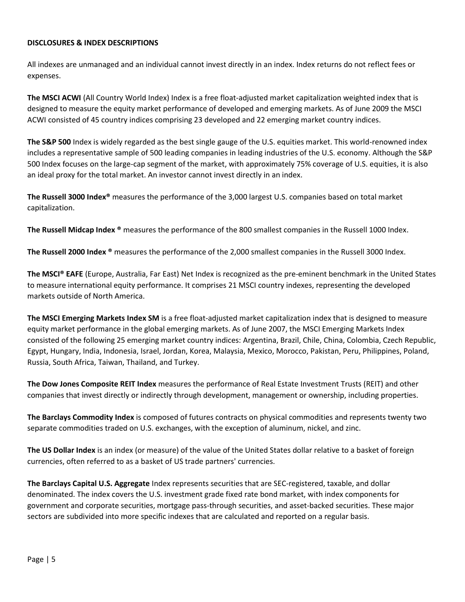#### **DISCLOSURES & INDEX DESCRIPTIONS**

All indexes are unmanaged and an individual cannot invest directly in an index. Index returns do not reflect fees or expenses.

**The MSCI ACWI** (All Country World Index) Index is a free float-adjusted market capitalization weighted index that is designed to measure the equity market performance of developed and emerging markets. As of June 2009 the MSCI ACWI consisted of 45 country indices comprising 23 developed and 22 emerging market country indices.

**The S&P 500** Index is widely regarded as the best single gauge of the U.S. equities market. This world-renowned index includes a representative sample of 500 leading companies in leading industries of the U.S. economy. Although the S&P 500 Index focuses on the large-cap segment of the market, with approximately 75% coverage of U.S. equities, it is also an ideal proxy for the total market. An investor cannot invest directly in an index.

**The Russell 3000 Index®** measures the performance of the 3,000 largest U.S. companies based on total market capitalization.

**The Russell Midcap Index ®** measures the performance of the 800 smallest companies in the Russell 1000 Index.

**The Russell 2000 Index ®** measures the performance of the 2,000 smallest companies in the Russell 3000 Index.

**The MSCI® EAFE** (Europe, Australia, Far East) Net Index is recognized as the pre-eminent benchmark in the United States to measure international equity performance. It comprises 21 MSCI country indexes, representing the developed markets outside of North America.

**The MSCI Emerging Markets Index SM** is a free float-adjusted market capitalization index that is designed to measure equity market performance in the global emerging markets. As of June 2007, the MSCI Emerging Markets Index consisted of the following 25 emerging market country indices: Argentina, Brazil, Chile, China, Colombia, Czech Republic, Egypt, Hungary, India, Indonesia, Israel, Jordan, Korea, Malaysia, Mexico, Morocco, Pakistan, Peru, Philippines, Poland, Russia, South Africa, Taiwan, Thailand, and Turkey.

**The Dow Jones Composite REIT Index** measures the performance of Real Estate Investment Trusts (REIT) and other companies that invest directly or indirectly through development, management or ownership, including properties.

**The Barclays Commodity Index** is composed of futures contracts on physical commodities and represents twenty two separate commodities traded on U.S. exchanges, with the exception of aluminum, nickel, and zinc.

**The US Dollar Index** is an index (or measure) of the value of the United States dollar relative to a basket of foreign currencies, often referred to as a basket of US trade partners' currencies.

**The Barclays Capital U.S. Aggregate** Index represents securities that are SEC-registered, taxable, and dollar denominated. The index covers the U.S. investment grade fixed rate bond market, with index components for government and corporate securities, mortgage pass-through securities, and asset-backed securities. These major sectors are subdivided into more specific indexes that are calculated and reported on a regular basis.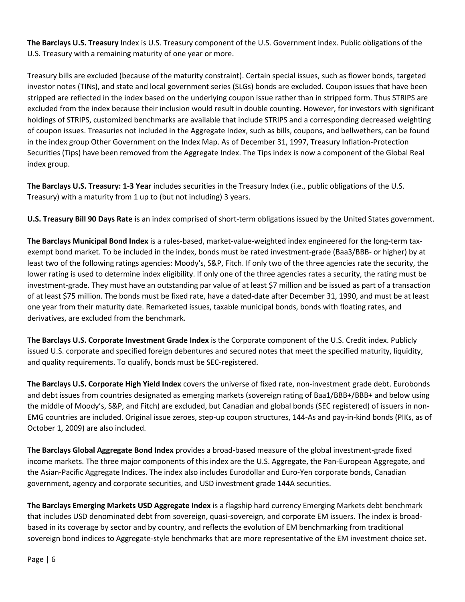**The Barclays U.S. Treasury** Index is U.S. Treasury component of the U.S. Government index. Public obligations of the U.S. Treasury with a remaining maturity of one year or more.

Treasury bills are excluded (because of the maturity constraint). Certain special issues, such as flower bonds, targeted investor notes (TINs), and state and local government series (SLGs) bonds are excluded. Coupon issues that have been stripped are reflected in the index based on the underlying coupon issue rather than in stripped form. Thus STRIPS are excluded from the index because their inclusion would result in double counting. However, for investors with significant holdings of STRIPS, customized benchmarks are available that include STRIPS and a corresponding decreased weighting of coupon issues. Treasuries not included in the Aggregate Index, such as bills, coupons, and bellwethers, can be found in the index group Other Government on the Index Map. As of December 31, 1997, Treasury Inflation-Protection Securities (Tips) have been removed from the Aggregate Index. The Tips index is now a component of the Global Real index group.

**The Barclays U.S. Treasury: 1-3 Year** includes securities in the Treasury Index (i.e., public obligations of the U.S. Treasury) with a maturity from 1 up to (but not including) 3 years.

**U.S. Treasury Bill 90 Days Rate** is an index comprised of short-term obligations issued by the United States government.

**The Barclays Municipal Bond Index** is a rules-based, market-value-weighted index engineered for the long-term taxexempt bond market. To be included in the index, bonds must be rated investment-grade (Baa3/BBB- or higher) by at least two of the following ratings agencies: Moody's, S&P, Fitch. If only two of the three agencies rate the security, the lower rating is used to determine index eligibility. If only one of the three agencies rates a security, the rating must be investment-grade. They must have an outstanding par value of at least \$7 million and be issued as part of a transaction of at least \$75 million. The bonds must be fixed rate, have a dated-date after December 31, 1990, and must be at least one year from their maturity date. Remarketed issues, taxable municipal bonds, bonds with floating rates, and derivatives, are excluded from the benchmark.

**The Barclays U.S. Corporate Investment Grade Index** is the Corporate component of the U.S. Credit index. Publicly issued U.S. corporate and specified foreign debentures and secured notes that meet the specified maturity, liquidity, and quality requirements. To qualify, bonds must be SEC-registered.

**The Barclays U.S. Corporate High Yield Index** covers the universe of fixed rate, non-investment grade debt. Eurobonds and debt issues from countries designated as emerging markets (sovereign rating of Baa1/BBB+/BBB+ and below using the middle of Moody's, S&P, and Fitch) are excluded, but Canadian and global bonds (SEC registered) of issuers in non-EMG countries are included. Original issue zeroes, step-up coupon structures, 144-As and pay-in-kind bonds (PIKs, as of October 1, 2009) are also included.

**The Barclays Global Aggregate Bond Index** provides a broad-based measure of the global investment-grade fixed income markets. The three major components of this index are the U.S. Aggregate, the Pan-European Aggregate, and the Asian-Pacific Aggregate Indices. The index also includes Eurodollar and Euro-Yen corporate bonds, Canadian government, agency and corporate securities, and USD investment grade 144A securities.

**The Barclays Emerging Markets USD Aggregate Index** is a flagship hard currency Emerging Markets debt benchmark that includes USD denominated debt from sovereign, quasi-sovereign, and corporate EM issuers. The index is broadbased in its coverage by sector and by country, and reflects the evolution of EM benchmarking from traditional sovereign bond indices to Aggregate-style benchmarks that are more representative of the EM investment choice set.